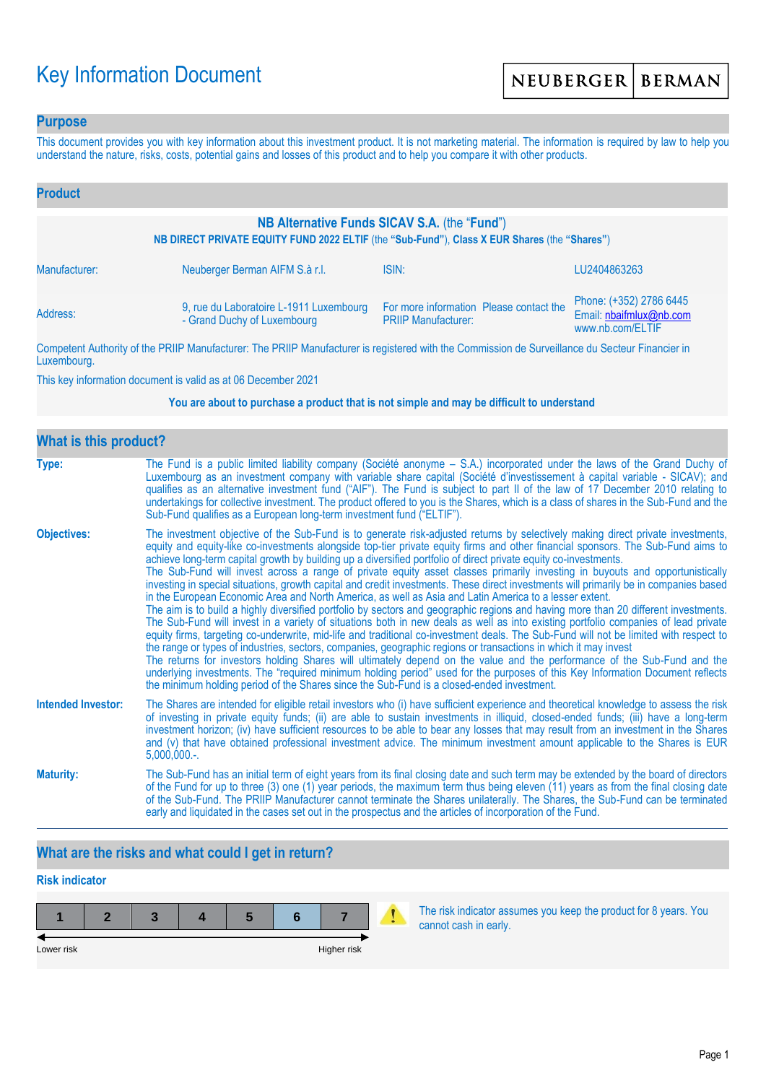# Key Information Document

### **Purpose**

This document provides you with key information about this investment product. It is not marketing material. The information is required by law to help you understand the nature, risks, costs, potential gains and losses of this product and to help you compare it with other products.

| <b>Product</b>                                                                                                                               |                                                                        |                                                                       |                                                                        |  |  |
|----------------------------------------------------------------------------------------------------------------------------------------------|------------------------------------------------------------------------|-----------------------------------------------------------------------|------------------------------------------------------------------------|--|--|
| NB Alternative Funds SICAV S.A. (the "Fund")<br>NB DIRECT PRIVATE EQUITY FUND 2022 ELTIF (the "Sub-Fund"), Class X EUR Shares (the "Shares") |                                                                        |                                                                       |                                                                        |  |  |
| Manufacturer:                                                                                                                                | Neuberger Berman AIFM S.à r.l.                                         | ISIN:                                                                 | LU2404863263                                                           |  |  |
| Address:                                                                                                                                     | 9, rue du Laboratoire L-1911 Luxembourg<br>- Grand Duchy of Luxembourg | For more information Please contact the<br><b>PRIIP Manufacturer:</b> | Phone: (+352) 2786 6445<br>Email: nbaifmlux@nb.com<br>www.nb.com/ELTIF |  |  |

Competent Authority of the PRIIP Manufacturer: The PRIIP Manufacturer is registered with the Commission de Surveillance du Secteur Financier in Luxembourg.

This key information document is valid as at 06 December 2021

#### **You are about to purchase a product that is not simple and may be difficult to understand**

| <b>What is this product?</b> |                                                                                                                                                                                                                                                                                                                                                                                                                                                                                                                                                                                                                                                                                                                                                                                                                                                                                                                                                                                                                                                                                                                                                                                                                                                                                                                                                                                                                                                                                                                                                                                                                                                                               |
|------------------------------|-------------------------------------------------------------------------------------------------------------------------------------------------------------------------------------------------------------------------------------------------------------------------------------------------------------------------------------------------------------------------------------------------------------------------------------------------------------------------------------------------------------------------------------------------------------------------------------------------------------------------------------------------------------------------------------------------------------------------------------------------------------------------------------------------------------------------------------------------------------------------------------------------------------------------------------------------------------------------------------------------------------------------------------------------------------------------------------------------------------------------------------------------------------------------------------------------------------------------------------------------------------------------------------------------------------------------------------------------------------------------------------------------------------------------------------------------------------------------------------------------------------------------------------------------------------------------------------------------------------------------------------------------------------------------------|
| Type:                        | The Fund is a public limited liability company (Société anonyme – S.A.) incorporated under the laws of the Grand Duchy of<br>Luxembourg as an investment company with variable share capital (Société d'investissement à capital variable - SICAV); and<br>qualifies as an alternative investment fund ("AIF"). The Fund is subject to part II of the law of 17 December 2010 relating to<br>undertakings for collective investment. The product offered to you is the Shares, which is a class of shares in the Sub-Fund and the<br>Sub-Fund qualifies as a European long-term investment fund ("ELTIF").                                                                                                                                                                                                                                                                                                                                                                                                                                                                                                                                                                                                                                                                                                                                                                                                                                                                                                                                                                                                                                                                    |
| <b>Objectives:</b>           | The investment objective of the Sub-Fund is to generate risk-adjusted returns by selectively making direct private investments,<br>equity and equity-like co-investments alongside top-tier private equity firms and other financial sponsors. The Sub-Fund aims to<br>achieve long-term capital growth by building up a diversified portfolio of direct private equity co-investments.<br>The Sub-Fund will invest across a range of private equity asset classes primarily investing in buyouts and opportunistically<br>investing in special situations, growth capital and credit investments. These direct investments will primarily be in companies based<br>in the European Economic Area and North America, as well as Asia and Latin America to a lesser extent.<br>The aim is to build a highly diversified portfolio by sectors and geographic regions and having more than 20 different investments.<br>The Sub-Fund will invest in a variety of situations both in new deals as well as into existing portfolio companies of lead private<br>equity firms, targeting co-underwrite, mid-life and traditional co-investment deals. The Sub-Fund will not be limited with respect to<br>the range or types of industries, sectors, companies, geographic regions or transactions in which it may invest<br>The returns for investors holding Shares will ultimately depend on the value and the performance of the Sub-Fund and the<br>underlying investments. The "required minimum holding period" used for the purposes of this Key Information Document reflects<br>the minimum holding period of the Shares since the Sub-Fund is a closed-ended investment. |
| <b>Intended Investor:</b>    | The Shares are intended for eligible retail investors who (i) have sufficient experience and theoretical knowledge to assess the risk<br>of investing in private equity funds; (ii) are able to sustain investments in illiquid, closed-ended funds; (iii) have a long-term<br>investment horizon; (iv) have sufficient resources to be able to bear any losses that may result from an investment in the Shares<br>and (v) that have obtained professional investment advice. The minimum investment amount applicable to the Shares is EUR<br>5,000,000                                                                                                                                                                                                                                                                                                                                                                                                                                                                                                                                                                                                                                                                                                                                                                                                                                                                                                                                                                                                                                                                                                                     |
| <b>Maturity:</b>             | The Sub-Fund has an initial term of eight years from its final closing date and such term may be extended by the board of directors<br>of the Fund for up to three (3) one (1) year periods, the maximum term thus being eleven (11) years as from the final closing date<br>of the Sub-Fund. The PRIIP Manufacturer cannot terminate the Shares unilaterally. The Shares, the Sub-Fund can be terminated<br>early and liquidated in the cases set out in the prospectus and the articles of incorporation of the Fund.                                                                                                                                                                                                                                                                                                                                                                                                                                                                                                                                                                                                                                                                                                                                                                                                                                                                                                                                                                                                                                                                                                                                                       |

# **What are the risks and what could I get in return?**

# **Risk indicator**

| Lower risk |  |  | Higher risk |  |
|------------|--|--|-------------|--|

The risk indicator assumes you keep the product for 8 years. You cannot cash in early.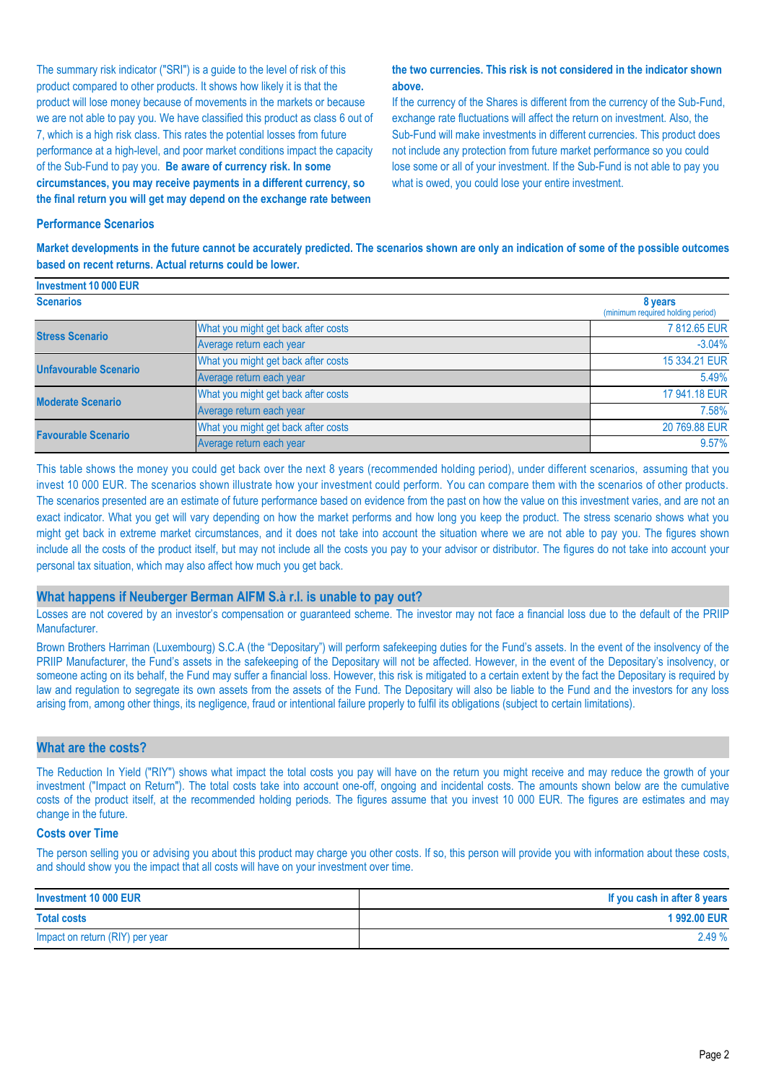The summary risk indicator ("SRI") is a guide to the level of risk of this product compared to other products. It shows how likely it is that the product will lose money because of movements in the markets or because we are not able to pay you. We have classified this product as class 6 out of 7, which is a high risk class. This rates the potential losses from future performance at a high-level, and poor market conditions impact the capacity of the Sub-Fund to pay you. **Be aware of currency risk. In some circumstances, you may receive payments in a different currency, so the final return you will get may depend on the exchange rate between** 

#### **the two currencies. This risk is not considered in the indicator shown above.**

If the currency of the Shares is different from the currency of the Sub-Fund, exchange rate fluctuations will affect the return on investment. Also, the Sub-Fund will make investments in different currencies. This product does not include any protection from future market performance so you could lose some or all of your investment. If the Sub-Fund is not able to pay you what is owed, you could lose your entire investment.

#### **Performance Scenarios**

**Market developments in the future cannot be accurately predicted. The scenarios shown are only an indication of some of the possible outcomes based on recent returns. Actual returns could be lower.**

| Investment 10 000 EUR        |                                     |                                              |
|------------------------------|-------------------------------------|----------------------------------------------|
| <b>Scenarios</b>             |                                     | 8 years<br>(minimum required holding period) |
| <b>Stress Scenario</b>       | What you might get back after costs | 7812.65 EUR                                  |
|                              | Average return each year            | $-3.04%$                                     |
| <b>Unfavourable Scenario</b> | What you might get back after costs | 15 334.21 EUR                                |
|                              | Average return each year            | 5.49%                                        |
| <b>Moderate Scenario</b>     | What you might get back after costs | 17 941.18 EUR                                |
|                              | Average return each year            | 7.58%                                        |
| <b>Favourable Scenario</b>   | What you might get back after costs | 20 769.88 EUR                                |
|                              | Average return each year            | 9.57%                                        |

This table shows the money you could get back over the next 8 years (recommended holding period), under different scenarios, assuming that you invest 10 000 EUR. The scenarios shown illustrate how your investment could perform. You can compare them with the scenarios of other products. The scenarios presented are an estimate of future performance based on evidence from the past on how the value on this investment varies, and are not an exact indicator. What you get will vary depending on how the market performs and how long you keep the product. The stress scenario shows what you might get back in extreme market circumstances, and it does not take into account the situation where we are not able to pay you. The figures shown include all the costs of the product itself, but may not include all the costs you pay to your advisor or distributor. The figures do not take into account your personal tax situation, which may also affect how much you get back.

#### **What happens if Neuberger Berman AIFM S.à r.l. is unable to pay out?**

Losses are not covered by an investor's compensation or guaranteed scheme. The investor may not face a financial loss due to the default of the PRIIP Manufacturer.

Brown Brothers Harriman (Luxembourg) S.C.A (the "Depositary") will perform safekeeping duties for the Fund's assets. In the event of the insolvency of the PRIIP Manufacturer, the Fund's assets in the safekeeping of the Depositary will not be affected. However, in the event of the Depositary's insolvency, or someone acting on its behalf, the Fund may suffer a financial loss. However, this risk is mitigated to a certain extent by the fact the Depositary is required by law and regulation to segregate its own assets from the assets of the Fund. The Depositary will also be liable to the Fund and the investors for any loss arising from, among other things, its negligence, fraud or intentional failure properly to fulfil its obligations (subject to certain limitations).

#### **What are the costs?**

The Reduction In Yield ("RIY") shows what impact the total costs you pay will have on the return you might receive and may reduce the growth of your investment ("Impact on Return"). The total costs take into account one-off, ongoing and incidental costs. The amounts shown below are the cumulative costs of the product itself, at the recommended holding periods. The figures assume that you invest 10 000 EUR. The figures are estimates and may change in the future.

#### **Costs over Time**

The person selling you or advising you about this product may charge you other costs. If so, this person will provide you with information about these costs, and should show you the impact that all costs will have on your investment over time.

| Investment 10 000 EUR           | If you cash in after 8 years |
|---------------------------------|------------------------------|
| <b>Total costs</b>              | 1992.00 EUR                  |
| Impact on return (RIY) per year | 2.49%                        |